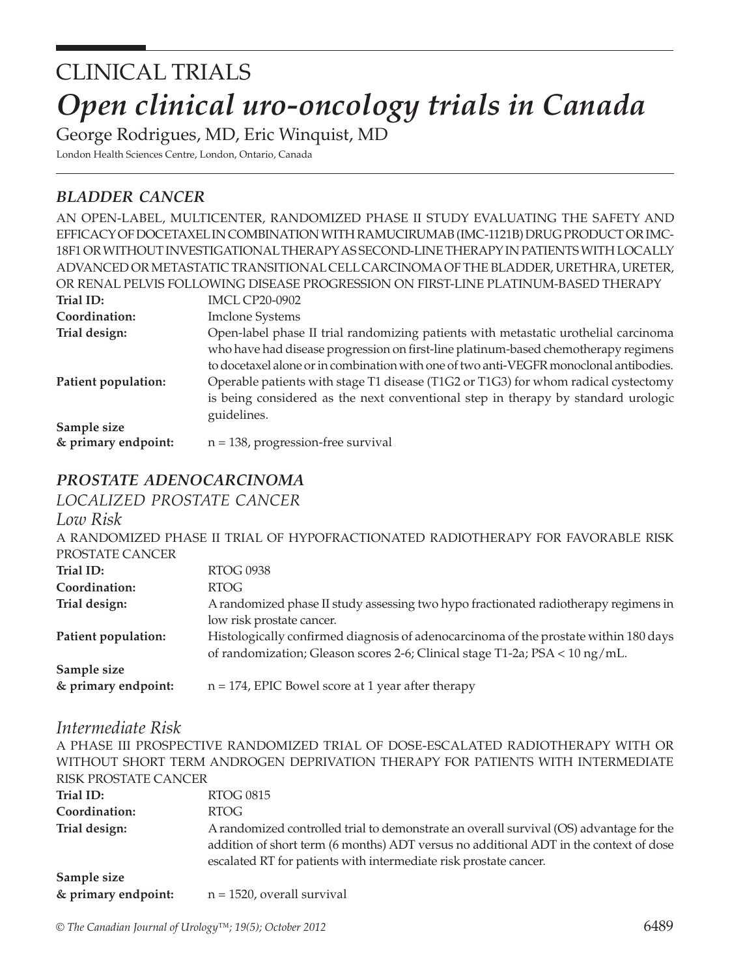# *Open clinical uro-oncology trials in Canada* CLINICAL TRIALS

George Rodrigues, MD, Eric Winquist, MD

London Health Sciences Centre, London, Ontario, Canada

## *bladder cancer*

|                     | AN OPEN-LABEL, MULTICENTER, RANDOMIZED PHASE II STUDY EVALUATING THE SAFETY AND         |
|---------------------|-----------------------------------------------------------------------------------------|
|                     | EFFICACY OF DOCETAXEL IN COMBINATION WITH RAMUCIRUMAB (IMC-1121B) DRUG PRODUCT OR IMC-  |
|                     | 18F1 OR WITHOUT INVESTIGATIONAL THERAPY AS SECOND-LINE THERAPY IN PATIENTS WITH LOCALLY |
|                     | ADVANCED OR METASTATIC TRANSITIONAL CELL CARCINOMA OF THE BLADDER, URETHRA, URETER,     |
|                     | OR RENAL PELVIS FOLLOWING DISEASE PROGRESSION ON FIRST-LINE PLATINUM-BASED THERAPY      |
| Trial ID:           | <b>IMCL CP20-0902</b>                                                                   |
| Coordination:       | <b>Imclone Systems</b>                                                                  |
| Trial design:       | Open-label phase II trial randomizing patients with metastatic urothelial carcinoma     |
|                     | who have had disease progression on first-line platinum-based chemotherapy regimens     |
|                     | to docetaxel alone or in combination with one of two anti-VEGFR monoclonal antibodies.  |
| Patient population: | Operable patients with stage T1 disease (T1G2 or T1G3) for whom radical cystectomy      |
|                     | is being considered as the next conventional step in therapy by standard urologic       |
|                     | guidelines.                                                                             |
| Sample size         |                                                                                         |
| & primary endpoint: | $n = 138$ , progression-free survival                                                   |

## *prostate adenocarcinoma*

*localized prostate cancer*

*Low Risk*

| LIV W INDIN         |                                                                                      |
|---------------------|--------------------------------------------------------------------------------------|
|                     | A RANDOMIZED PHASE II TRIAL OF HYPOFRACTIONATED RADIOTHERAPY FOR FAVORABLE RISK      |
| PROSTATE CANCER     |                                                                                      |
| Trial ID:           | <b>RTOG 0938</b>                                                                     |
| Coordination:       | RTOG                                                                                 |
| Trial design:       | A randomized phase II study assessing two hypo fractionated radiotherapy regimens in |
|                     | low risk prostate cancer.                                                            |
| Patient population: | Histologically confirmed diagnosis of adenocarcinoma of the prostate within 180 days |
|                     | of randomization; Gleason scores 2-6; Clinical stage T1-2a; PSA < 10 ng/mL.          |
| Sample size         |                                                                                      |
| & primary endpoint: | $n = 174$ , EPIC Bowel score at 1 year after therapy                                 |

#### *Intermediate Risk*

A PHASE III PROSPECTIVE RANDOMIZED TRIAL OF DOSE-ESCALATED RADIOTHERAPY WITH OR WITHOUT SHORT TERM ANDROGEN DEPRIVATION THERAPY FOR PATIENTS WITH INTERMEDIATE RISK PROSTATE CANCER **Trial ID:** RTOG 0815 **Coordination:** RTOG **Trial design:** A randomized controlled trial to demonstrate an overall survival (OS) advantage for the addition of short term (6 months) ADT versus no additional ADT in the context of dose escalated RT for patients with intermediate risk prostate cancer. **Sample size & primary endpoint:** n = 1520, overall survival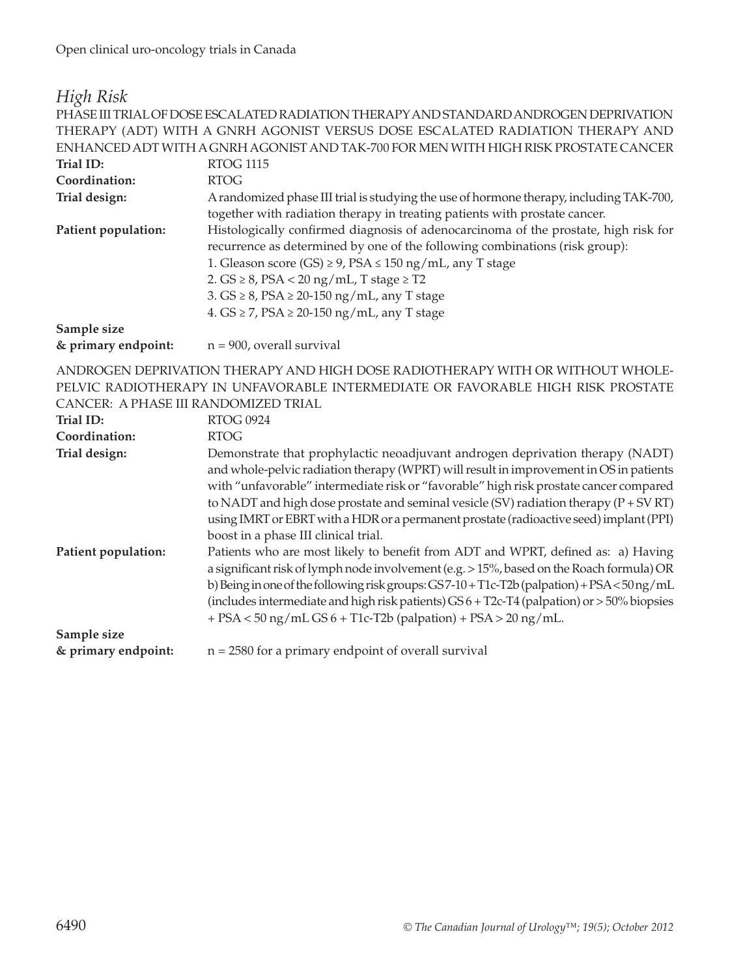#### *High Risk*

PHASE III TRIAL OF DOSE ESCALATED RADIATION THERAPY AND STANDARD ANDROGEN DEPRIVATION THERAPY (ADT) WITH A GNRH AGONIST VERSUS DOSE ESCALATED RADIATION THERAPY AND ENHANCED ADT WITH A GNRH AGONIST AND TAK-700 FOR MEN WITH HIGH RISK PROSTATE CANCER Trial ID: RTOG 1115 **Coordination:** RTOG **Trial design:** A randomized phase III trial is studying the use of hormone therapy, including TAK-700, together with radiation therapy in treating patients with prostate cancer. **Patient population:** Histologically confirmed diagnosis of adenocarcinoma of the prostate, high risk for recurrence as determined by one of the following combinations (risk group): 1. Gleason score (GS)  $\geq$  9, PSA  $\leq$  150 ng/mL, any T stage 2.  $GS \geq 8$ ,  $PSA < 20$  ng/mL, T stage  $\geq$  T2 3. GS ≥ 8, PSA ≥ 20-150 ng/mL, any T stage 4. GS ≥ 7, PSA ≥ 20-150 ng/mL, any T stage **Sample size & primary endpoint:** n = 900, overall survival

ANDROGEN DEPRIVATION THERAPY AND HIGH DOSE RADIOTHERAPY WITH OR WITHOUT WHOLE-PELVIC RADIOTHERAPY IN UNFAVORABLE INTERMEDIATE OR FAVORABLE HIGH RISK PROSTATE CANCER: A PHASE III RANDOMIZED TRIAL

| Trial ID:           | <b>RTOG 0924</b>                                                                                                                                                                                                                                                                                                                                                                                                                                                                                 |
|---------------------|--------------------------------------------------------------------------------------------------------------------------------------------------------------------------------------------------------------------------------------------------------------------------------------------------------------------------------------------------------------------------------------------------------------------------------------------------------------------------------------------------|
| Coordination:       | <b>RTOG</b>                                                                                                                                                                                                                                                                                                                                                                                                                                                                                      |
| Trial design:       | Demonstrate that prophylactic neoadjuvant androgen deprivation therapy (NADT)<br>and whole-pelvic radiation therapy (WPRT) will result in improvement in OS in patients<br>with "unfavorable" intermediate risk or "favorable" high risk prostate cancer compared<br>to NADT and high dose prostate and seminal vesicle (SV) radiation therapy ( $P + SV RT$ )<br>using IMRT or EBRT with a HDR or a permanent prostate (radioactive seed) implant (PPI)<br>boost in a phase III clinical trial. |
| Patient population: | Patients who are most likely to benefit from ADT and WPRT, defined as: a) Having<br>a significant risk of lymph node involvement (e.g. > 15%, based on the Roach formula) OR<br>b) Being in one of the following risk groups: GS7-10+T1c-T2b (palpation) + PSA<50 ng/mL<br>(includes intermediate and high risk patients) $GS 6 + T2c-T4$ (palpation) or $> 50\%$ biopsies<br>$+$ PSA < 50 ng/mL GS 6 + T1c-T2b (palpation) + PSA > 20 ng/mL.                                                    |
| Sample size         |                                                                                                                                                                                                                                                                                                                                                                                                                                                                                                  |
| & primary endpoint: | $n = 2580$ for a primary endpoint of overall survival                                                                                                                                                                                                                                                                                                                                                                                                                                            |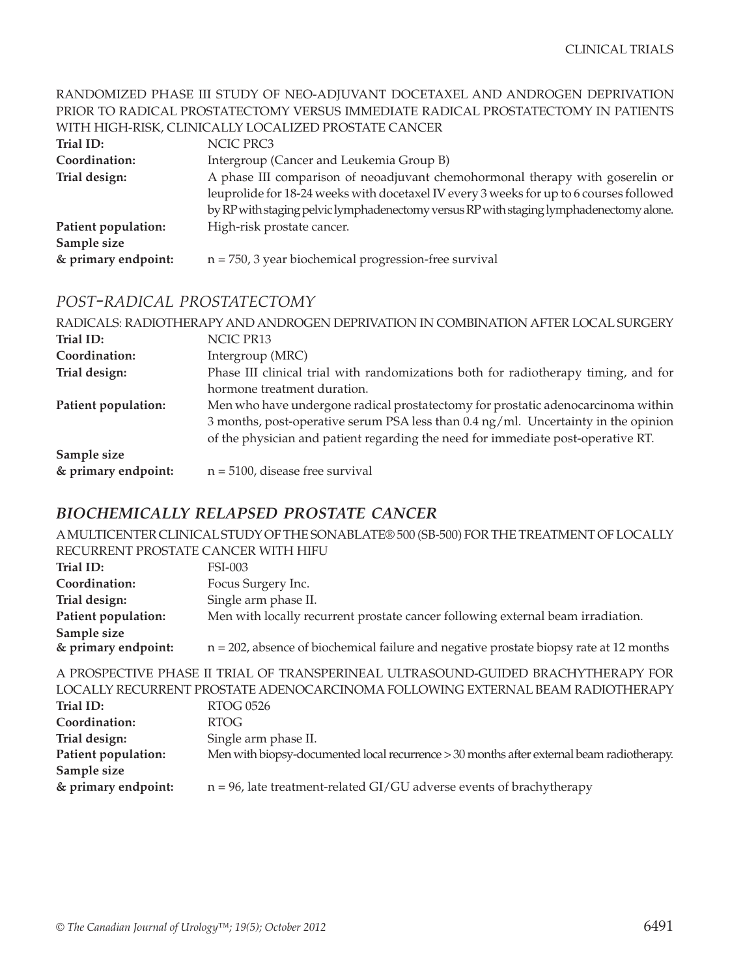#### RANDOMIZED PHASE III STUDY OF NEO-ADJUVANT DOCETAXEL AND ANDROGEN DEPRIVATION PRIOR TO RADICAL PROSTATECTOMY VERSUS IMMEDIATE RADICAL PROSTATECTOMY IN PATIENTS WITH HIGH-RISK, CLINICALLY LOCALIZED PROSTATE CANCER

| Trial ID:           | NCIC PRC3                                                                               |
|---------------------|-----------------------------------------------------------------------------------------|
| Coordination:       | Intergroup (Cancer and Leukemia Group B)                                                |
| Trial design:       | A phase III comparison of neoadjuvant chemohormonal therapy with goserelin or           |
|                     | leuprolide for 18-24 weeks with docetaxel IV every 3 weeks for up to 6 courses followed |
|                     | by RP with staging pelvic lymphadenectomy versus RP with staging lymphadenectomy alone. |
| Patient population: | High-risk prostate cancer.                                                              |
| Sample size         |                                                                                         |
| & primary endpoint: | $n = 750$ , 3 year biochemical progression-free survival                                |

#### *post-radical prostatectomy*

|                     | RADICALS: RADIOTHERAPY AND ANDROGEN DEPRIVATION IN COMBINATION AFTER LOCAL SURGERY |
|---------------------|------------------------------------------------------------------------------------|
| Trial ID:           | NCIC PR13                                                                          |
| Coordination:       | Intergroup (MRC)                                                                   |
| Trial design:       | Phase III clinical trial with randomizations both for radiotherapy timing, and for |
|                     | hormone treatment duration.                                                        |
| Patient population: | Men who have undergone radical prostatectomy for prostatic adenocarcinoma within   |
|                     | 3 months, post-operative serum PSA less than 0.4 ng/ml. Uncertainty in the opinion |
|                     | of the physician and patient regarding the need for immediate post-operative RT.   |
| Sample size         |                                                                                    |
| & primary endpoint: | $n = 5100$ , disease free survival                                                 |

## *biochemically relapsed prostate cancer*

A MULTICENTER CLINICAL STUDY OF THE SONABLATE® 500 (SB-500) FOR THE TREATMENT OF LOCALLY RECURRENT PROSTATE CANCER WITH HIFU

| Trial ID:           | FSI-003                                                                                   |
|---------------------|-------------------------------------------------------------------------------------------|
| Coordination:       | Focus Surgery Inc.                                                                        |
| Trial design:       | Single arm phase II.                                                                      |
| Patient population: | Men with locally recurrent prostate cancer following external beam irradiation.           |
| Sample size         |                                                                                           |
| & primary endpoint: | $n = 202$ , absence of biochemical failure and negative prostate biopsy rate at 12 months |
|                     |                                                                                           |

A PROSPECTIVE PHASE II TRIAL OF TRANSPERINEAL ULTRASOUND-GUIDED BRACHYTHERAPY FOR LOCALLY RECURRENT PROSTATE ADENOCARCINOMA FOLLOWING EXTERNAL BEAM RADIOTHERAPY **Trial ID:** RTOG 0526 **Coordination:** RTOG **Trial design:** Single arm phase II. **Patient population:** Men with biopsy-documented local recurrence > 30 months after external beam radiotherapy. **Sample size & primary endpoint:** n = 96, late treatment-related GI/GU adverse events of brachytherapy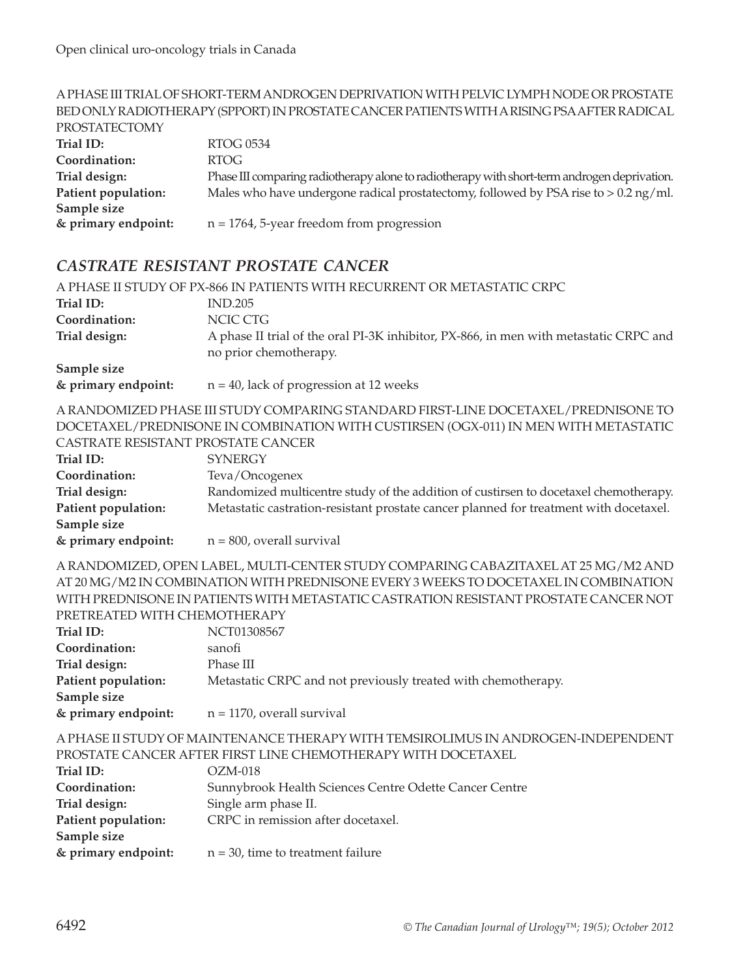#### A PHASE III TRIAL OF SHORT-TERM ANDROGEN DEPRIVATION WITH PELVIC LYMPH NODE OR PROSTATE BED ONLY RADIOTHERAPY (SPPORT) IN PROSTATE CANCER PATIENTS WITH A RISING PSA AFTER RADICAL PROSTATECTOMY **Trial ID:** RTOG 0534 **Coordination:** RTOG **Trial design:** Phase III comparing radiotherapy alone to radiotherapy with short-term androgen deprivation. **Patient population:** Males who have undergone radical prostatectomy, followed by PSA rise to > 0.2 ng/ml. **Sample size & primary endpoint:** n = 1764, 5-year freedom from progression

#### *castrate resistant prostate cancer*

|                                             | A PHASE II STUDY OF PX-866 IN PATIENTS WITH RECURRENT OR METASTATIC CRPC                                        |
|---------------------------------------------|-----------------------------------------------------------------------------------------------------------------|
| Trial ID:                                   | <b>IND.205</b>                                                                                                  |
| Coordination:                               | NCIC CTG                                                                                                        |
| Trial design:                               | A phase II trial of the oral PI-3K inhibitor, PX-866, in men with metastatic CRPC and<br>no prior chemotherapy. |
| Sample size<br>$\theta$ and an our on drink | $n = 40$ leak of programs at 12 years of                                                                        |

**& primary endpoint:** n = 40, lack of progression at 12 weeks

A RANDOMIZED PHASE III STUDY COMPARING STANDARD FIRST-LINE DOCETAXEL/PREDNISONE TO DOCETAXEL/PREDNISONE IN COMBINATION WITH CUSTIRSEN (OGX-011) IN MEN WITH METASTATIC CASTRATE RESISTANT PROSTATE CANCER

| CASI NATE NESISTAIVI T'NOSTATE CAINCEN- |                                                                                       |
|-----------------------------------------|---------------------------------------------------------------------------------------|
| Trial ID:                               | <b>SYNERGY</b>                                                                        |
| Coordination:                           | Teva/Oncogenex                                                                        |
| Trial design:                           | Randomized multicentre study of the addition of custirsen to docetaxel chemotherapy.  |
| Patient population:                     | Metastatic castration-resistant prostate cancer planned for treatment with docetaxel. |
| Sample size                             |                                                                                       |
| & primary endpoint:                     | $n = 800$ , overall survival                                                          |

A RANDOMIZED, OPEN LABEL, MULTI-CENTER STUDY COMPARING CABAZITAXEL AT 25 MG/M2 AND AT 20 MG/M2 IN COMBINATION WITH PREDNISONE EVERY 3 WEEKS TO DOCETAXEL IN COMBINATION WITH PREDNISONE IN PATIENTS WITH METASTATIC CASTRATION RESISTANT PROSTATE CANCER NOT PRETREATED WITH CHEMOTHERAPY

| Trial ID:           | NCT01308567                                                   |
|---------------------|---------------------------------------------------------------|
| Coordination:       | sanofi                                                        |
| Trial design:       | Phase III                                                     |
| Patient population: | Metastatic CRPC and not previously treated with chemotherapy. |
| Sample size         |                                                               |
| & primary endpoint: | $n = 1170$ , overall survival                                 |

A PHASE II STUDY OF MAINTENANCE THERAPY WITH TEMSIROLIMUS IN ANDROGEN-INDEPENDENT PROSTATE CANCER AFTER FIRST LINE CHEMOTHERAPY WITH DOCETAXEL

| Trial ID:           | $OZM-018$                                              |
|---------------------|--------------------------------------------------------|
| Coordination:       | Sunnybrook Health Sciences Centre Odette Cancer Centre |
| Trial design:       | Single arm phase II.                                   |
| Patient population: | CRPC in remission after docetaxel.                     |
| Sample size         |                                                        |
| & primary endpoint: | $n = 30$ , time to treatment failure                   |